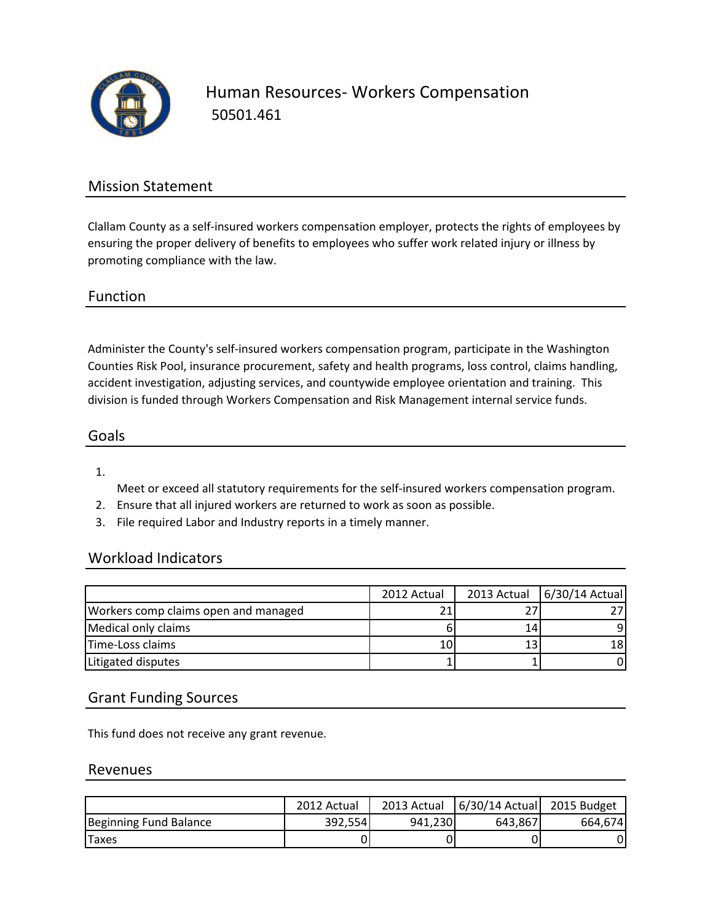

Human Resources- Workers Compensation 50501.461

## Mission Statement

Clallam County as a self-insured workers compensation employer, protects the rights of employees by ensuring the proper delivery of benefits to employees who suffer work related injury or illness by promoting compliance with the law.

## Function

Administer the County's self-insured workers compensation program, participate in the Washington Counties Risk Pool, insurance procurement, safety and health programs, loss control, claims handling, accident investigation, adjusting services, and countywide employee orientation and training. This division is funded through Workers Compensation and Risk Management internal service funds.

## Goals

1.

Meet or exceed all statutory requirements for the self-insured workers compensation program.

- 2. Ensure that all injured workers are returned to work as soon as possible.
- 3. File required Labor and Industry reports in a timely manner.

## Workload Indicators

|                                      | 2012 Actual |    | 2013 Actual 6/30/14 Actual |
|--------------------------------------|-------------|----|----------------------------|
| Workers comp claims open and managed |             |    |                            |
| Medical only claims                  |             | 14 |                            |
| Time-Loss claims                     | 10          |    | 18                         |
| Litigated disputes                   |             |    |                            |

#### Grant Funding Sources

This fund does not receive any grant revenue.

#### Revenues

|                        | 2012 Actual | 2013 Actual | 6/30/14 Actual 2015 Budget |         |
|------------------------|-------------|-------------|----------------------------|---------|
| Beginning Fund Balance | 392,554     | 941.230     | 643,867                    | 664.674 |
| <b>Taxes</b>           |             |             |                            |         |